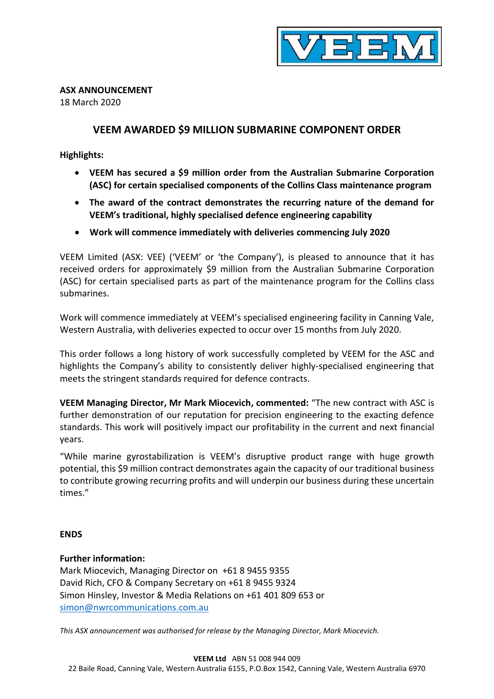

# **ASX ANNOUNCEMENT**

18 March 2020

# **VEEM AWARDED \$9 MILLION SUBMARINE COMPONENT ORDER**

### **Highlights:**

- **VEEM has secured a \$9 million order from the Australian Submarine Corporation (ASC) for certain specialised components of the Collins Class maintenance program**
- **The award of the contract demonstrates the recurring nature of the demand for VEEM's traditional, highly specialised defence engineering capability**
- **Work will commence immediately with deliveries commencing July 2020**

VEEM Limited (ASX: VEE) ('VEEM' or 'the Company'), is pleased to announce that it has received orders for approximately \$9 million from the Australian Submarine Corporation (ASC) for certain specialised parts as part of the maintenance program for the Collins class submarines.

Work will commence immediately at VEEM's specialised engineering facility in Canning Vale, Western Australia, with deliveries expected to occur over 15 months from July 2020.

This order follows a long history of work successfully completed by VEEM for the ASC and highlights the Company's ability to consistently deliver highly-specialised engineering that meets the stringent standards required for defence contracts.

**VEEM Managing Director, Mr Mark Miocevich, commented:** "The new contract with ASC is further demonstration of our reputation for precision engineering to the exacting defence standards. This work will positively impact our profitability in the current and next financial years.

"While marine gyrostabilization is VEEM's disruptive product range with huge growth potential, this \$9 million contract demonstrates again the capacity of our traditional business to contribute growing recurring profits and will underpin our business during these uncertain times."

### **ENDS**

### **Further information:**

Mark Miocevich, Managing Director on +61 8 9455 9355 David Rich, CFO & Company Secretary on +61 8 9455 9324 Simon Hinsley, Investor & Media Relations on +61 401 809 653 or [simon@nwrcommunications.com.au](mailto:simon@nwrcommunications.com.au)

*This ASX announcement was authorised for release by the Managing Director, Mark Miocevich.*